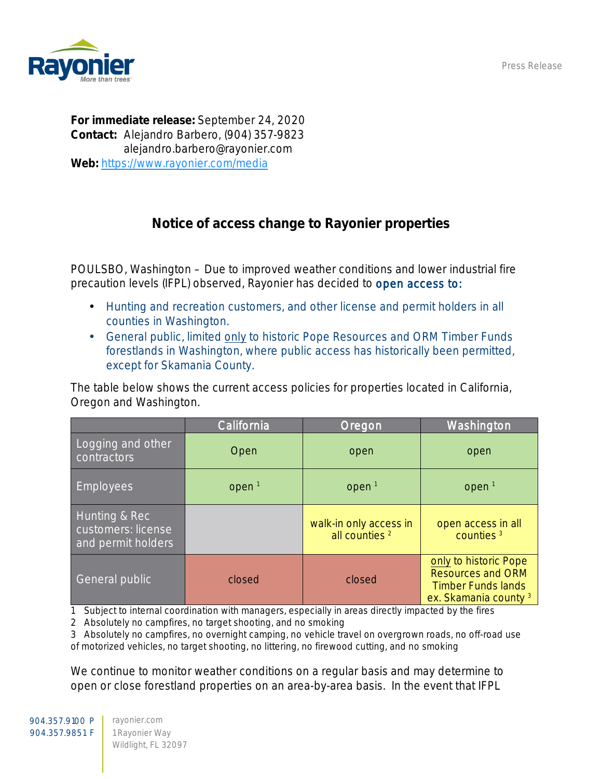Press Release



For immediate release: September 24, 2020 Contact: Alejandro Barbero, (904) 357-9823 alejandro.barbero@rayonier.com Web: <https://www.rayonier.com/media>

## Notice of access change to Rayonier properties

POULSBO, Washington – Due to improved weather conditions and lower industrial fire precaution levels (IFPL) observed, Rayonier has decided to open access to:

- Hunting and recreation customers, and other license and permit holders in all counties in Washington.
- General public, limited only to historic Pope Resources and ORM Timber Funds forestlands in Washington, where public access has historically been permitted, except for Skamania County.

The table below shows the current access policies for properties located in California, Oregon and Washington.

|                                                           | California        | Oregon                                              | Washington                                                                                                         |
|-----------------------------------------------------------|-------------------|-----------------------------------------------------|--------------------------------------------------------------------------------------------------------------------|
| Logging and other<br>contractors                          | Open              | open                                                | open                                                                                                               |
| <b>Employees</b>                                          | open <sup>1</sup> | open <sup>1</sup>                                   | open <sup>1</sup>                                                                                                  |
| Hunting & Rec<br>customers: license<br>and permit holders |                   | walk-in only access in<br>all counties <sup>2</sup> | open access in all<br>counties <sup>3</sup>                                                                        |
| General public                                            | closed            | closed                                              | only to historic Pope<br><b>Resources and ORM</b><br><b>Timber Funds lands</b><br>ex. Skamania county <sup>3</sup> |

1 Subject to internal coordination with managers, especially in areas directly impacted by the fires

2 Absolutely no campfires, no target shooting, and no smoking

3 Absolutely no campfires, no overnight camping, no vehicle travel on overgrown roads, no off-road use of motorized vehicles, no target shooting, no littering, no firewood cutting, and no smoking

We continue to monitor weather conditions on a regular basis and may determine to open or close forestland properties on an area-by-area basis. In the event that IFPL